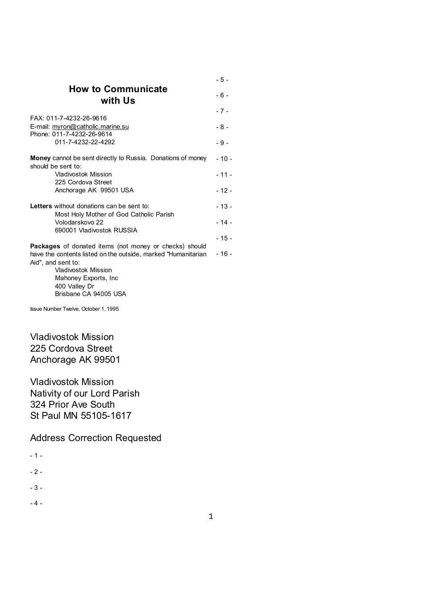|                                                                                                                                                                                                             | - 5 -  |
|-------------------------------------------------------------------------------------------------------------------------------------------------------------------------------------------------------------|--------|
| <b>How to Communicate</b><br>with Us                                                                                                                                                                        | $-6-$  |
|                                                                                                                                                                                                             | $-7-$  |
| FAX: 011-7-4232-26-9616<br>E-mail: myron@catholic.marine.su<br>Phone: 011-7-4232-26-9614                                                                                                                    | $-8-$  |
| 011-7-4232-22-4292                                                                                                                                                                                          | $-9-$  |
| <b>Money</b> cannot be sent directly to Russia. Donations of money<br>should be sent to:                                                                                                                    | $-10-$ |
| Vladivostok Mission                                                                                                                                                                                         | $-11-$ |
| 225 Cordova Street<br>Anchorage AK 99501 USA                                                                                                                                                                | $-12-$ |
| Letters without donations can be sent to:                                                                                                                                                                   | $-13-$ |
| Most Holy Mother of God Catholic Parish<br>Volodarskovo 22<br>690001 Vladivostok RUSSIA                                                                                                                     | $-14-$ |
|                                                                                                                                                                                                             | $-15-$ |
| <b>Packages</b> of donated items (not money or checks) should<br>have the contents listed on the outside, marked "Humanitarian<br>Aid", and sent to:<br><b>Vladivostok Mission</b><br>Mahoney Exports, Inc. | $-16-$ |
| 400 Valley Dr<br>Brisbane CA 94005 USA                                                                                                                                                                      |        |

Issue Number Twelve, October 1, 1995

Vladivostok Mission 225 Cordova Street Anchorage AK 99501

Vladivostok Mission Nativity of our Lord Parish 324 Prior Ave South St Paul MN 55105-1617

Address Correction Requested

- 1 -  $-2 -$ 

- 3 -

- 4 -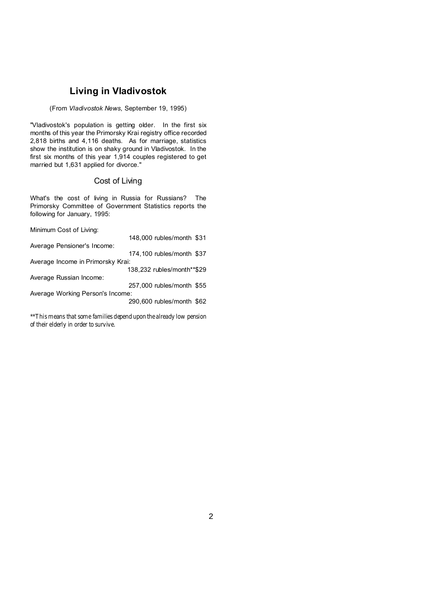# **Living in Vladivostok**

#### (From *Vladivostok News*, September 19, 1995)

"Vladivostok's population is getting older. In the first six months of this year the Primorsky Krai registry office recorded 2,818 births and 4,116 deaths. As for marriage, statistics show the institution is on shaky ground in Vladivostok. In the first six months of this year 1,914 couples registered to get married but 1,631 applied for divorce."

## Cost of Living

What's the cost of living in Russia for Russians? The Primorsky Committee of Government Statistics reports the following for January, 1995:

Minimum Cost of Living:

|                                   | 148,000 rubles/month \$31  |  |
|-----------------------------------|----------------------------|--|
| Average Pensioner's Income:       |                            |  |
|                                   | 174,100 rubles/month \$37  |  |
| Average Income in Primorsky Krai: |                            |  |
|                                   | 138,232 rubles/month**\$29 |  |
| Average Russian Income:           |                            |  |
|                                   | 257,000 rubles/month \$55  |  |
| Average Working Person's Income:  |                            |  |
|                                   | 290,600 rubles/month \$62  |  |
|                                   |                            |  |

\*\*This means that some families depend upon the already low pension of their elderly in order to survive.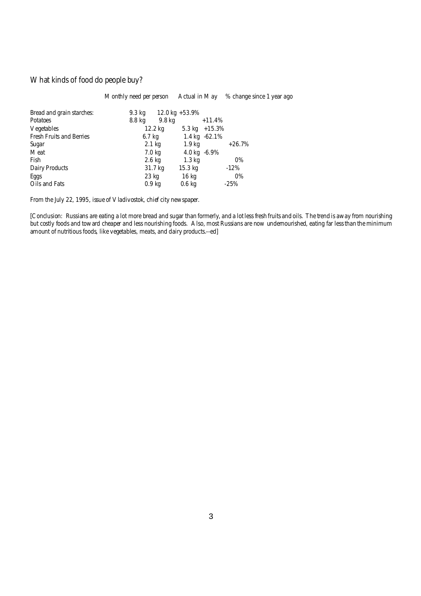# What kinds of food do people buy?

|                           | Monthly need per person |                         | Actual in May % change since 1 year ago |
|---------------------------|-------------------------|-------------------------|-----------------------------------------|
| Bread and grain starches: | 9.3 kg                  | 12.0 kg +53.9%          |                                         |
| Potatoes                  | 8.8 kg<br>9.8 kg        | $+11.4%$                |                                         |
| Vegetables                | 12.2 kg                 | $5.3 \text{ kg}$ +15.3% |                                         |
| Fresh Fruits and Berries  | $6.7$ kg                | 1.4 kg -62.1%           |                                         |
| Sugar                     | $2.1$ kg                | 1.9 kg                  | $+26.7%$                                |
| Meat                      | 7.0 kg                  | 4.0 kg $-6.9\%$         |                                         |
| Fish                      | $2.6$ kg                | $1.3 \text{ kg}$        | $0\%$                                   |
| Dairy Products            | 31.7 kg                 | 15.3 kg                 | $-12\%$                                 |
| Eggs                      | 23 kg                   | 16 kg                   | 0%                                      |
| Oils and Fats             | 0.9 <sub>kq</sub>       | $0.6$ kg                | $-25%$                                  |

From the July 22, 1995, issue of *Vladivostok*, chief city newspaper.

[Conclusion: Russians are eating a lot more bread and sugar than formerly, and a lot less fresh fruits and oils. The trend is away from nourishing but costly foods and toward cheaper and less nourishing foods. Also, most Russians are now undernourished, eating far less than the minimum amount of nutritious foods, like vegetables, meats, and dairy products.--ed]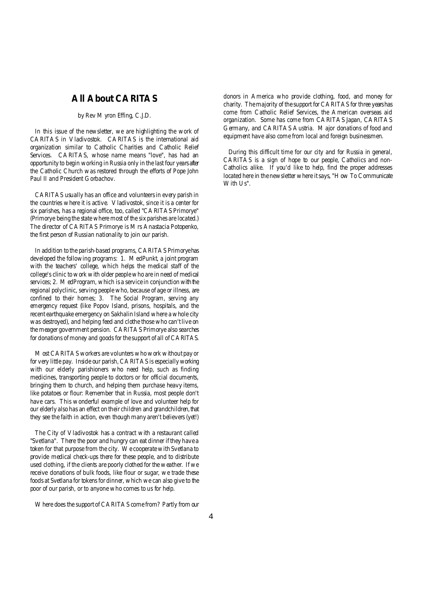# **All About CARITAS**

#### *by Rev Myron Effing*, *C.J.D.*

In this issue of the newsletter, we are highlighting the work of CARITAS in Vladivostok. CARITAS is the international aid organization similar to Catholic Charities and Catholic Relief Services. CARITAS, whose name means "love", has had an opportunity to begin working inRussia only in the last four years after the Catholic Church was restored through the efforts of Pope John Paul II and President Gorbachov.

CARITAS usually has an office and volunteersin every parish in the countries where it is active. Vladivostok, since it is a center for six parishes, has a regional office, too, called "CARITAS Primorye" (Primorye being the state where most of the six parishes are located.) The director of CARITAS Primorye is Mrs Anastacia Potopenko, the first person of Russian nationality to join our parish.

In addition to the parish-based programs, CARITAS Primoryehas developed the following programs: 1. MedPunkt, a joint program with the teachers' college, which helps the medical staff of the college's clinic towork with older peoplewho are in need of medical services; 2. MedProgram, which is a service in conjunction with the regional polyclinic, serving people who, because of age or illness, are confined to their homes; 3. The Social Program, serving any emergency request (like Popov Island, prisons, hospitals, and the recent earthquake emergency on Sakhalin Island where a whole city was destroyed), and helping feed and clothe those who can't live on the meager government pension. CARITAS Primorye also searches for donations of money and goods for the support of all of CARITAS.

Most CARITAS workers are volunters whowork without pay or for very little pay. Inside our parish, CARITAS is especiallyworking with our elderly parishioners who need help, such as finding medicines, transporting people to doctors or for official documents, bringing them to church, and helping them purchase heavy items, like potatoes or flour: Remember that in Russia, most people don't have cars. This wonderful example of love and volunteer help for our elderly also has an effect on their children and grandchildren, that they see the faith in action, even thoughmany aren't believers (yet!)

The City of Vladivostok has a contract with a restaurant called "Svetlana". There the poor and hungry can eat dinner if they have a token for that purpose from the city. We cooperate with Svetlana to provide medical check-ups there for these people, and to distribute used clothing, if the clients are poorly clothed for the weather. If we receive donations of bulk foods, like flour or sugar, we trade these foods at Svetlana for tokens for dinner, which we can also give to the poor of our parish, or to anyone who comes to us for help.

Where does the support of CARITAS come from? Partly from our

donors in America who provide clothing, food, and money for charity. The majority of the support for CARITAS for three years has come from Catholic Relief Services, the American overseas aid organization. Some has come from CARITAS Japan, CARITAS Germany, and CARITAS Austria. Major donations of food and equipment have also come from local and foreign businessmen.

 During this difficult time for our city and for Russia in general, CARITAS is a sign of hope to our people, Catholics and non-Catholics alike. If you'd like to help, find the proper addresses located here in the newsletter where itsays, "How To Communicate With Us".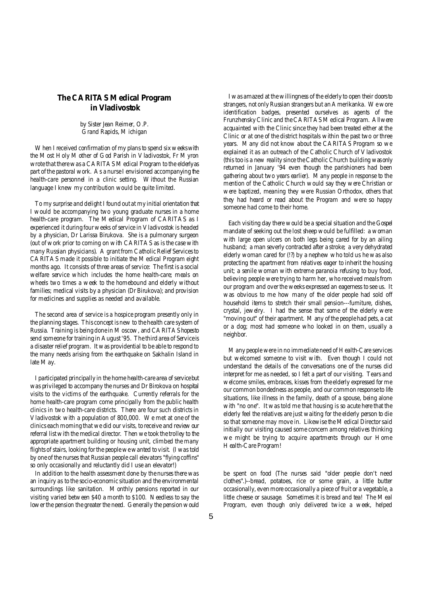## **The CARITAS Medical Program in Vladivostok**

*by Sister Jean Reimer, O.P.*  Grand Rapids, Michigan

When I received confirmation of my plans to spend six weekswith the Most Holy Mother of God Parish in Vladivostok, Fr Myron wrote that there was a CARITAS Medical Program to the elderlyas part of the pastoral work. As a nurse I envisioned accompanying the health-care personnel in a clinic setting. Without the Russian language I knew my contribution would be quite limited.

To my surprise and delight I found out at my initial orientation that I would be accompanying two young graduate nurses in a home health-care program. The Medical Program of CARITAS as I experienced it during four weeks of service in Vladivostok is headed by a physician, Dr Larissa Birukova. She is a pulmonary surgeon (out of work prior to coming on with CARITAS as is the case with many Russian physicians). A grant from Catholic Relief Services to CARITAS made it possible to initiate the Medical Program eight months ago. It consists of three areas of service: The first is a social welfare service which includes the home health-care; meals on wheels two times a week to the homebound and elderly without families; medical visits by a physician (Dr Birukova); and provision for medicines and supplies as needed and available.

The second area of service is a hospice program presently only in the planning stages. Thisconcept is new to the health care system of Russia. Training is being done in Moscow, and CARITAS hopesto send someone for training in August '95. The third area of Serviceis a disaster relief program. It was providential to be able to respond to the many needs arising from the earthquake on Sakhalin Island in late May.

I participated principally in the home health-care area of servicebut was privileged to accompany the nurses and Dr Birokova on hospital visits to the victims of the earthquake. Currently referrals for the home health-care program come principally from the public health clinics in two health-care districts. There are four such districts in Vladivostok with a population of 800,000. We met at one of the clinics each morning that we did our visits, to receive and review our referral listwith the medical director. Then we took the trolley to the appropriate apartment building or housing unit, climbed the many flights of stairs, looking for the peoplewewanted to visit. (I was told by one of the nurses that Russian people call elevators "flying coffins" so only occasionally and reluctantly did I use an elevator!)

In addition to the health assessment done by the nurses there was an inquiry as to the socio-economicsituation and the environmental surroundings like sanitation. Monthly pensions reported in our visiting varied between \$40 a month to \$100. Needless to say the lower the pension the greater the need. Generally the pension would

 I was amazed at thewillingness of the elderly to open their doorsto strangers, not onlyRussian strangers but an *Amerikanka*. Wewore identification badges, presented ourselves as agents of the Frunzhensky Clinic and the CARITAS Medical Program. All were acquainted with the Clinic since they had been treated either at the Clinic or at one of the district hospitals within the past two or three years. Many did not know about the CARITAS Program so we explained it as an outreach of the Catholic Church of Vladivostok (this too is a new reality since the Catholic Church building was only returned in January '94 even though the parishioners had been gathering about two years earlier). Many people in response to the mention of the Catholic Church would say they were Christian or were baptized, meaning they were Russian Orthodox, others that they had heard or read about the Program and were so happy someone had come to their home.

 Each visiting day there would be a special situation and the Gospel mandate of seeking out the lost sheep would be fulfilled: a woman with large open ulcers on both legs being cared for by an ailing husband; a man severly contracted after a stroke; a very dehydrated elderly woman cared for (!?) by a nephew who told us he was also protecting the apartment from relatives eager to inherit the housing unit; a senile woman with extreme paranoia refusing to buy food, believing people were trying to harm her, who received meals from our program and over the weeks expressed an eagerness to see us. It was obvious to me how many of the older people had sold off household items to stretch their small pension---furniture, dishes, crystal, jewelry. I had the sense that some of the elderly were "moving out" of their apartment. Many of the people had pets, a cat or a dog; most had someone who looked in on them, usually a neighbor.

 Many people were in no immediate need of Health-Care services but welcomed someone to visit with. Even though I could not understand the details of the conversations one of the nurses did interpret for me as needed, so I felt a part of our visiting. Tears and welcome smiles, embraces, kisses from the elderly expressed for me our common bondedness as people, and our common response to life situations, like illness in the family, death of a spouse, being alone with "no one". It was told me that housing is so acute here that the elderly feel the relatives are just waiting for the elderly person to die so that someone may move in. Likewise the Medical Director said initially our visiting caused some concern among relatives thinking we might be trying to acquire apartments through our Home Health-Care Program!

be spent on food (The nurses said "older people don't need clothes".)--bread, potatoes, rice or some grain, a little butter occasionally, evenmore occasionally a piece of fruit or a vegetable, a little cheese or sausage. Sometimes it is bread and tea! The Meal Program, even though only delivered twice a week, helped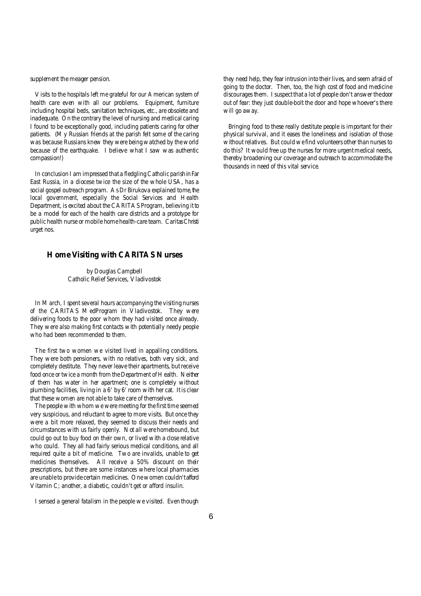supplement the meager pension.

Visits to the hospitals left me grateful for our American system of health care even with all our problems. Equipment, furniture including hospital beds, sanitation techniques, etc., are obsolete and inadequate. On the contrary the level of nursing and medical caring I found to be exceptionally good, including patients caring for other patients. (My Russian friends at the parish felt some of the caring was because Russians knew they were being watched by the world because of the earthquake. I believe what I saw was authentic compassion!)

In conclusion I am impressed that a fledgling Catholic parishinFar East Russia, in a diocese twice the size of the whole USA, has a social gospel outreach program. As Dr Birukova explained tome, the local government, especially the Social Services and Health Department, is excited about the CARITAS Program, believing it to be a model for each of the health care districts and a prototype for public health nurse or mobile home health-care team. *CaritasChristi urget nos*.

### **Home Visiting with CARITAS Nurses**

*by Douglas Campbell* Catholic Relief Services, Vladivostok

In March, I spent several hours accompanying the visiting nurses of the CARITAS MedProgram in Vladivostok. They were delivering foods to the poor whom they had visited once already. They were also making first contacts with potentially needy people who had been recommended to them.

The first two women we visited lived in appalling conditions. They were both pensioners, with no relatives, both very sick, and completely destitute. They never leave their apartments, butreceive food once or twice a month from the Department of Health. Neither of them has water in her apartment; one is completely without plumbing facilities, living in a 6' by 6' room with her cat. It is clear that these women are not able to take care of themselves.

The people with whom we were meeting for the first time seemed very suspicious, and reluctant to agree to more visits. But once they were a bit more relaxed, they seemed to discuss their needs and circumstances with us fairly openly. Not all were homebound, but could go out to buy food on their own, or lived with a close relative who could. They all had fairly serious medical conditions, and all required quite a bit of medicine. Two are invalids, unable to get medicines themselves. All receive a 50% discount on their prescriptions, but there are some instances where local pharmacies are unable to provide certain medicines. Onewomen couldn'tafford Vitamin C; another, a diabetic, couldn't get or afford insulin.

I sensed a general fatalism in the people we visited. Even though

they need help, they fear intrusion into their lives, and seem afraid of going to the doctor. Then, too, the high cost of food and medicine discourages them. I suspect that a lot of people don't answer thedoor out of fear: they just double-bolt the door and hope whoever's there will go away.

 Bringing food to these really destitute people is important for their physical survival, and it eases the loneliness and isolation of those without relatives. But could we find volunteers other than nurses to do this? It would free up the nurses for more urgent medical needs, thereby broadening our coverage and outreach to accommodate the thousands in need of this vital service.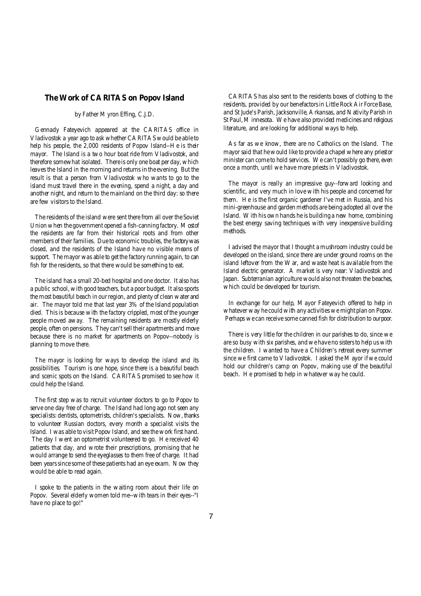#### **The Work of CARITAS on Popov Island**

## *by Father Myron Effing, C.J.D.*

Gennady Fateyevich appeared at the CARITAS office in Vladivostok a year ago to ask whether CARITASwould be able to help his people, the 2,000 residents of Popov Island--He is their mayor. The Island is a two hour boat ride from Vladivostok, and therefore somewhat isolated. There is only one boat per day, which leaves the Island in the morning and returns in the evening. But the result is that a person from Vladivostok who wants to go to the island must travel there in the evening, spend a night, a day and another night, and return to the mainland on the third day: so there are few visitors to the Island.

The residents of the island were sent there from all over the Soviet Unionwhen the government opened a fish-canning factory. Mostof the residents are far from their historical roots and from other members of their families. Due to economic troubles, the factorywas closed, and the residents of the Island have no visible means of support. The mayor was able to get the factory running again, to can fish for the residents, so that there would be something to eat.

The island has a small 20-bed hospital and one doctor. It also has a public school, with good teachers, but a poor budget. It also sports the most beautiful beach in our region, and plenty of clean water and air. The mayor told me that last year 3% of the Island population died. This is because with the factory crippled, most of the younger people moved away. The remaining residents are mostly elderly people, often on pensions. They can't sell their apartments and move because there is no market for apartments on Popov--nobody is planning to move there.

The mayor is looking for ways to develop the island and its possibilities. Tourism is one hope, since there is a beautiful beach and scenic spots on the Island. CARITAS promised to see how it could help the Island.

The first step was to recruit volunteer doctors to go to Popov to serve one day free of charge. The Island had long ago not seen any specialists: dentists, optometrists, children's specialists. Now, thanks to volunteer Russian doctors, every month a specialist visits the Island. I was able to visit Popov Island, and see thework first hand. The day I went an optometrist volunteered to go. He received 40 patients that day, and wrote their prescriptions, promising that he would arrange to send the eyeglasses to them free of charge. It had been years since some of these patients had an eye exam. Now they would be able to read again.

I spoke to the patients in the waiting room about their life on Popov. Several elderly women told me--with tears in their eyes--"I have no place to go!"

 CARITAS has also sent to the residents boxes of clothing to the residents, provided by our benefactors in Little Rock Air Force Base, and St Jude's Parish, Jacksonville, Arkansas, and Nativity Parish in St Paul, Minnesota. We have also provided medicines and religious literature, and are looking for additional ways to help.

 As far as we know, there are no Catholics on the Island. The mayor said that hewould like to provide a chapel where any priestor minister can come to hold services. We can't possibly go there, even once a month, until we have more priests in Vladivostok.

 The mayor is really an impressive guy--forward looking and scientific, and very much in love with his people and concerned for them. He is the first organic gardener I've met in Russia, and his mini-greenhouse and gardenmethods are being adopted all over the Island. With his own hands he is building a new home, combining the best energy saving techniques with very inexpensive building methods.

 I advised the mayor that I thought a mushroom industry could be developed on the island, since there are under ground rooms on the island leftover from the War, and waste heat is available from the Island electric generator. A market is very near: Vladivostok and Japan. Subterranian agriculture would also not threaten the beaches, which could be developed for tourism.

 In exchange for our help, Mayor Fateyevich offered to help in whatever way he could with any activities we might plan on Popov. Perhaps we can receive some canned fish for distribution to our poor.

 There is very little for the children in our parishes to do, since we are so busy with six parishes, and we have no sisters to help us with the children. I wanted to have a Children's retreat every summer since we first came to Vladivostok. I asked the Mayor if we could hold our children's camp on Popov, making use of the beautiful beach. He promised to help in whatever way he could.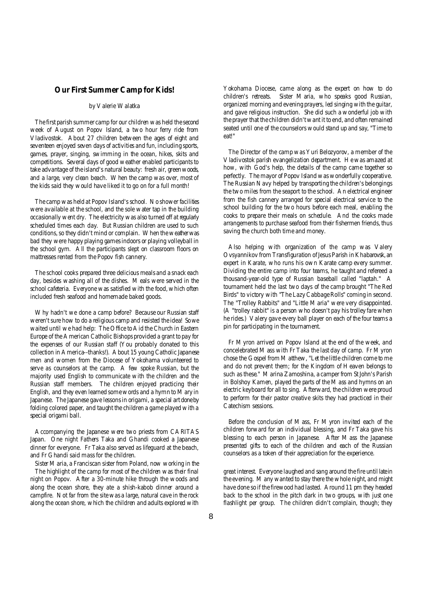### **Our First Summer Camp for Kids!**

#### *by Valerie Walatka*

The first parish summer camp for our children was held the second week of August on Popov Island, a two hour ferry ride from Vladivostok. About 27 children between the ages of eight and seventeen enjoyed seven days of activities and fun, including sports, games, prayer, singing, swimming in the ocean, hikes, skits and competitions. Several days of good weather enabled participants to take advantage of the island's natural beauty: fresh air, greenwoods, and a large, very clean beach. When the camp was over, most of the kids said they would have liked it to go on for a full month!

The camp was held at Popov Island's school. No shower facilities were available at the school, and the sole water tap in the building occasionally went dry. The electricity was also turned off at regularly scheduled times each day. But Russian children are used to such conditions, so they didn't mind or complain. When theweatherwas bad they were happy playing gamesindoors or playing volleyball in the school gym. All the participants slept on classroom floors on mattresses rented from the Popov fish cannery.

The school cooks prepared three delicious meals and a snack each day, besides washing all of the dishes. Meals were served in the school cafeteria. Everyone was satisfied with the food, which often included fresh seafood and homemade baked goods.

Why hadn't we done a camp before? Because our Russian staff weren't sure how to do a religious camp and resisted the idea! Sowe waited until we had help: The Office to Aid the Church in Eastern Europe of the American Catholic Bishops provided a grant to pay for the expenses of our Russian staff (You probably donated to this collection in America--thanks!). About 15 young Catholic Japanese men and women from the Diocese of Yokohama volunteered to serve as counselors at the camp. A few spoke Russian, but the majority used English to communicate with the children and the Russian staff members. The children enjoyed practicing their English, and they even learned somewords and a hymn to Mary in Japanese. The Japanese gave lessons in origami, a special art done by folding colored paper, and taught the children a game played with a special origami ball.

Accompanying the Japanese were two priests from CARITAS Japan. One night Fathers Taka and Ghandi cooked a Japanese dinner for everyone. Fr Taka also served as lifeguard at the beach, and Fr Ghandi said mass for the children.

Sister Maria, a Franciscan sister from Poland, now working in the The highlight of the camp for most of the children was their final night on Popov. After a 30-minute hike through the woods and along the ocean shore, they ate a shish-kabob dinner around a campfire. Not far from the sitewas a large, natural cave in the rock along the ocean shore, which the children and adults explored with

Yokohama Diocese, came along as the expert on how to do children's retreats. Sister Maria, who speaks good Russian, organized morning and evening prayers, led singing with the guitar, and gave religious instruction. She did such a wonderful job with the prayer that the children didn'twant it to end, and often remained seated until one of the counselors would stand up and say, "Time to eat!"

 The Director of the camp was Yuri Belozyorov, a member of the Vladivostok parish evangelization department. Hewas amazed at how, with God's help, the details of the camp came together so perfectly. The mayor of Popov Island was wonderfully cooperative. The Russian Navy helped by transporting the children's belongings the two miles from the seaport to the school. An electrical engineer from the fish cannery arranged for special electrical service to the school building for the two hours before each meal, enabling the cooks to prepare their meals on schedule. And the cooks made arrangements to purchase seafood from their fishermen friends, thus saving the church both time and money.

 Also helping with organization of the camp was Valery Ovsyannikov from Transfiguration of Jesus Parish in Khabarovsk, an expert in Karate, who runs his own Karate camp every summer. Dividing the entire camp into four teams, he taught and refereed a thousand-year-old type of Russian baseball called "laptah." A tournament held the last two days of the camp brought "The Red Birds" to victory with "The Lazy Cabbage Rolls" coming in second. The "Trolley Rabbits" and "Little Maria" were very disappointed. (A "trolley rabbit" is a person who doesn't pay his trolley fare when he rides.) Valery gave every ball player on each of the four teams a pin for participating in the tournament.

 Fr Myron arrived on Popov Island at the end of the week, and concelebrated Mass with Fr Taka the last day of camp. Fr Myron chose the Gospel from Matthew, "Let the little children come to me and do not prevent them; for the Kingdom of Heaven belongs to such as these." Marina Zamoshina, a camper from St John's Parish in Bolshoy Kamen, played the parts of the Mass and hymns on an electric keyboard for all to sing. Afterward, the children were proud to perform for their pastor creative skits they had practiced in their Catechism sessions.

 Before the conclusion of Mass, Fr Myron invited each of the children forward for an individual blessing, and Fr Taka gave his blessing to each person in Japanese. After Mass the Japanese presented gifts to each of the children and each of the Russian counselors as a token of their appreciation for the experience.

great interest. Everyone laughed and sang around the fire until latein the evening. Many wanted to stay there the whole night, and might have done so if the firewood had lasted. Around 11 pm they headed back to the school in the pitch dark in two groups, with just one flashlight per group. The children didn't complain, though; they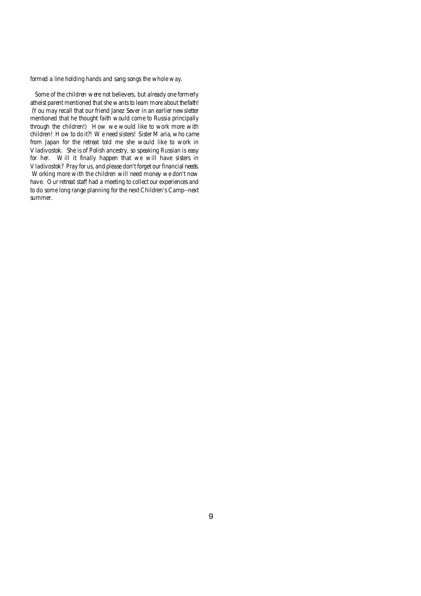formed a line holding hands and sang songs the whole way.

Some of the children were not believers, but already one formerly atheist parent mentioned that she wants to learn more about thefaith! (You may recall that our friend Janez Sever in an earlier newsletter mentioned that he thought faith would come to Russia principally through the children!) How we would like to work more with children! How to do it?! We need sisters! Sister Maria, who came from Japan for the retreat told me she would like to work in Vladivostok. She is of Polish ancestry, so speaking Russian is easy for her. Will it finally happen that we will have sisters in Vladivostok? Pray for us, and please don't forget our financial needs. Working more with the children will need money we don't now have. Our retreat staff had a meeting to collect our experiences and to do some long range planning for the next Children's Camp--next summer.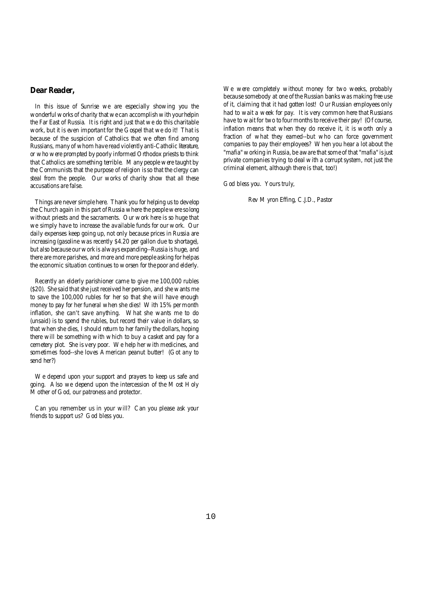## **Dear Reader,**

In this issue of Sunrise we are especially showing you the wonderful works of charity that we can accomplish with your helpin the Far East of Russia. It is right and just that we do this charitable work, but it is even important for the Gospel that we do it! That is because of the suspicion of Catholics that we often find among Russians, many of whom have read violently anti-Catholic literature, or who were prompted by poorly informed Orthodox priests to think that Catholics are something terrible. Many people were taught by the Communists that the purpose of religion isso that the clergy can steal from the people. Our works of charity show that all these accusations are false.

Things are never simple here. Thank you for helping us to develop the Church again in this part of Russia where the people were solong without priests and the sacraments. Our work here is so huge that we simply have to increase the available funds for our work. Our daily expenses keep going up, not only because prices in Russia are increasing (gasoline was recently \$4.20 per gallon due to shortage), but also because ourwork is always expanding--Russia is huge, and there are more parishes, and more and more people asking for helpas the economic situation continues to worsen for the poor and elderly.

Recently an elderly parishioner came to give me 100,000 rubles (\$20). She said that she just received her pension, and she wants me to save the 100,000 rubles for her so that she will have enough money to pay for her funeral when she dies! With 15% per month inflation, she can't save anything. What she wants me to do (unsaid) is to spend the rubles, but record their value in dollars, so that when she dies, I should return to her family the dollars, hoping there will be something with which to buy a casket and pay for a cemetery plot. She is very poor. We help her with medicines, and sometimes food--she loves American peanut butter! (Got any to send her?)

We depend upon your support and prayers to keep us safe and going. Also we depend upon the intercession of the Most Holy Mother of God, our patroness and protector.

Can you remember us in your will? Can you please ask your friends to support us? God bless you.

We were completely without money for two weeks, probably because somebody at one of the Russian banks was making free use of it, claiming that it had gotten lost! Our Russian employees only had to wait a week for pay. It is very common here that Russians have to wait for two to four months to receive their pay! (Of course, inflation means that when they do receive it, it is worth only a fraction of what they earned--but who can force government companies to pay their employees? When you hear a lot about the "mafia" working in Russia, be aware that some of that "mafia" is just private companies trying to deal with a corrupt system, not just the criminal element, although there is that, too!)

God bless you. Yours truly,

Rev Myron Effing, C.J.D., Pastor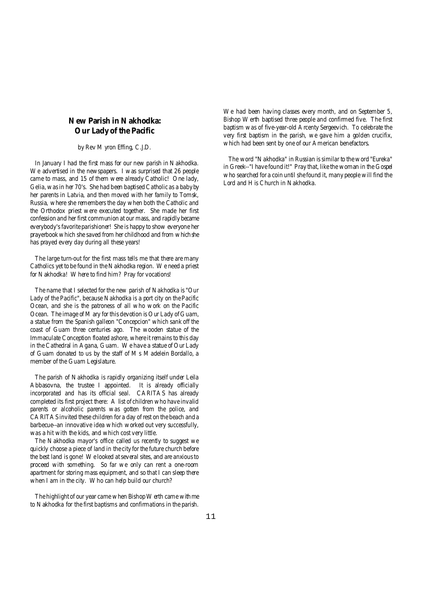# **New Parish in Nakhodka: Our Lady of the Pacific**

*by Rev Myron Effing, C.J.D.*

In January I had the first mass for our new parish in Nakhodka. We advertised in the newspapers. I was surprised that 26 people came to mass, and 15 of them were already Catholic! One lady, Gelia, wasin her 70's. She had been baptised Catholic as a babyby her parents in Latvia, and then moved with her family to Tomsk, Russia, where she remembers the day when both the Catholic and the Orthodox priest were executed together. She made her first confession and her first communion at our mass, and rapidly became everybody's favorite parishioner! She is happy to show everyone her prayerbook which she saved from her childhood and from whichshe has prayed every day during all these years!

The large turn-out for the first mass tells me that there are many Catholics yet to be found in the Nakhodka region. We need a priest for Nakhodka! Where to find him? Pray for vocations!

The name that I selected for the new parish of Nakhodka is "Our Lady of the Pacific", because Nakhodka is a port city on the Pacific Ocean, and she is the patroness of all who work on the Pacific Ocean. The image of Mary for this devotion is Our Lady of Guam, a statue from the Spanish galleon "Concepcion" which sank off the coast of Guam three centuries ago. The wooden statue of the Immaculate Conception floated ashore, where it remains to this day in the Cathedral in Agana, Guam. We have a statue of Our Lady of Guam donated to us by the staff of Ms Madelein Bordallo, a member of the Guam Legislature.

The parish of Nakhodka is rapidly organizing itself under Leila Abbasovna, the trustee I appointed. It is already officially incorporated and has its official seal. CARITAS has already completed its first project there: A list of children who have invalid parents or alcoholic parents was gotten from the police, and CARITAS invited these children for a day of rest on the beach and a barbecue--an innovative idea which worked out very successfully, was a hit with the kids, and which cost very little.

The Nakhodka mayor's office called us recently to suggest we quickly choose a piece of land in the city for the future church before the best land is gone! We looked atseveral sites, and are anxiousto proceed with something. So far we only can rent a one-room apartment for storing mass equipment, and so that I can sleep there when I am in the city. Who can help build our church?

The highlight of our year came when Bishop Werth came with me to Nakhodka for the first baptisms and confirmations in the parish.

We had been having classes every month, and on September 5, Bishop Werth baptised three people and confirmed five. The first baptism was of five-year-old Arcenty Sergeevich. To celebrate the very first baptism in the parish, we gave him a golden crucifix, which had been sent by one of our American benefactors.

 The word "Nakhodka" in Russian is similar to theword "Eureka" in Greek--"I have found it!" Pray that, like the woman in the Gospel who searched for a coin until she found it, many people will find the Lord and His Church in Nakhodka.